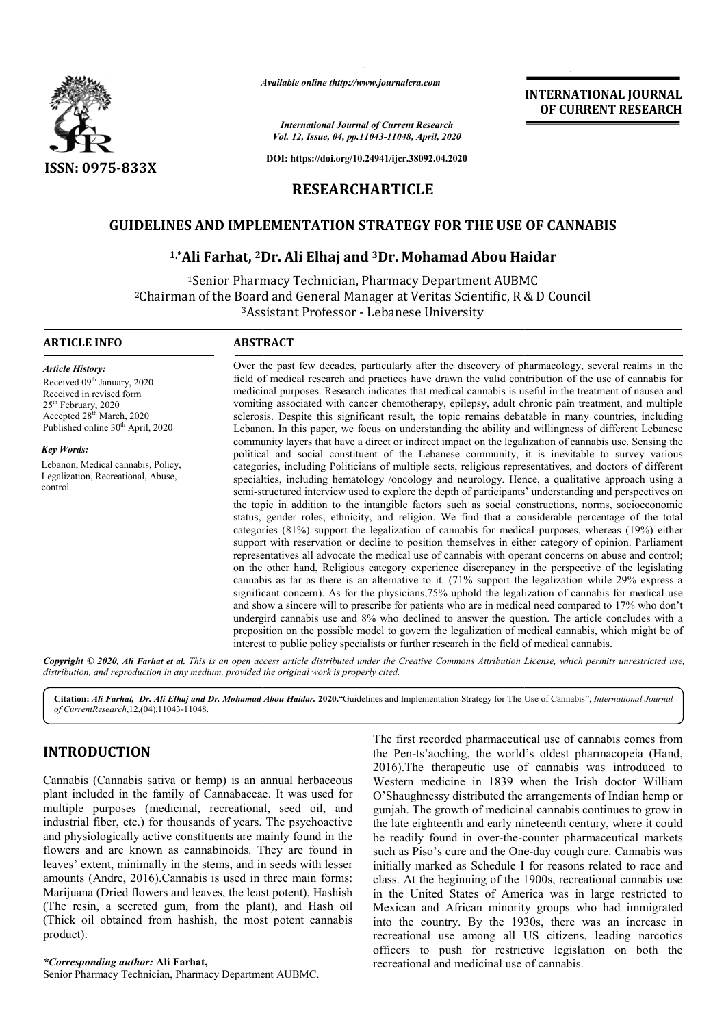

*Available online thttp://www.journalcra.com*

*International Journal of Current Research Vol. 12, Issue, 04, pp.11043-11048, April, 2020*

**DOI: https://doi.org/10.24941/ijcr.38092.04.2020**

# **RESEARCHARTICLE**

# GUIDELINES AND IMPLEMENTATION STRATEGY FOR THE USE OF CANNABIS<br><sup>1,\*</sup>Ali Farhat, <sup>2</sup>Dr. Ali Elhaj and <sup>3</sup>Dr. Mohamad Abou Haidar

# **1,\*Ali Farhat, 2Dr. Ali Elhaj and Dr. 3Dr. Mohamad Abou Haidar**

<sup>1</sup>Senior Pharmacy Technician, Pharmacy Department AUBMC 2Chairman of the Board and General Manager at Veritas Scientific, R & D Council <sup>3</sup>Assistant Professor - Lebanese University

#### **ARTICLE INFO ABSTRACT**

*Article History:* Received 09<sup>th</sup> January, 2020 Received in revised form 25<sup>th</sup> February, 2020 Accepted 28<sup>th</sup> March, 2020 Published online 30<sup>th</sup> April, 2020

*Key Words:* Lebanon, Medical cannabis, Policy, Legalization, Recreational, Abuse, control.

Over the past few decades, particularly after the discovery of pharmacology, several realms in the field of medical research and practices have drawn the valid contribution of the use of cannabis for medicinal purposes. Research indicates that medical cannabis is useful in vomiting associated with cancer chemotherapy, epilepsy, adult chronic pain treatment, and multiple sclerosis. Despite this significant result, the topic remains debatable in many countries, including Lebanon. In this paper, we focus on understanding the ability and willingness of different Lebanese community layers that have a direct or indirect impact on the legalization of cannabis use. Sensing the vomiting associated with cancer chemotherapy, epilepsy, adult chronic pain treatment, and multiple sclerosis. Despite this significant result, the topic remains debatable in many countries, including Lebanon. In this paper categories, including Politicians of multiple sects, religious representatives, and doctors of different specialties, including hematology /oncology and neurology. Hence, a qualitative approach using a semi-structured interview used to explore the depth of participants' understanding and perspectives on categories, including Politicians of multiple sects, religious representatives, and doctors of different specialties, including hematology /oncology and neurology. Hence, a qualitative approach using a semi-structured inte status, gender roles, ethnicity, and religion. We find that a considerable percentage of the total categories (81%) support the legalization of cannabis for medical purposes, whereas (19%) either support with reservation or decline to position themselves in either category of opinion. Parliament representatives all advocate the medical use of cannabis with operant concerns on abuse and control; on the other hand, Religious category experience discrepancy in the perspective of the legislating cannabis as far as there is an alternative to it. (71% support the legalization while 29% express a significant concern). As for the physicians, 75% uphold the legalization of cannabis for medical use and show a sincere will to prescribe for patients who are in medical need compared to 17% who don't undergird cannabis use and 8% who declined to answer the question. The article concludes with a preposition on the possible model to govern the legalization of medical cannabis, which might be of preposition on the possible model to govern the legalization of medical cannabis, which might be of interest to public policy specialists or further research in the field of medical cannabis. Over the past few decades, particularly after the discovery of pharmacology, several realms in the field of medical research and practices have drawn the valid contribution of the use of cannabis for medicinal purposes. Re categories (81%) support the legalization of cannabis for medical purposes, whereas (19%) either<br>support with reservation or decline to position themselves in either category of opinion. Parliament<br>representatives all advo

Copyright © 2020, Ali Farhat et al. This is an open access article distributed under the Creative Commons Attribution License, which permits unrestricted use, *distribution, and reproduction in any medium, provided the original work is properly cited.*

Citation: Ali Farhat, Dr. Ali Elhaj and Dr. Mohamad Abou Haidar. 2020. "Guidelines and Implementation Strategy for The Use of Cannabis", International Journal *of CurrentResearch*,12,(04),11043-11048.

# **INTRODUCTION**

Cannabis (Cannabis sativa or hemp) is an annual herbaceous plant included in the family of Cannabaceae. It was used for multiple purposes (medicinal, recreational, seed oil, and industrial fiber, etc.) for thousands of years. The psychoactive and physiologically active constituents are mainly found in the flowers and are known as cannabinoids. They are found in leaves' extent, minimally in the stems, and in seeds with lesser amounts (Andre, 2016).Cannabis is used in three main forms: Marijuana (Dried flowers and leaves, the least potent), Hashish (The resin, a secreted gum, from the plant), and Hash oil (Thick oil obtained from hashish, the most potent cannabis product). tive constituents are mainly found<br>or as cannabinoids. They are folly in the stems, and in seeds with<br>(i).Cannabis is used in three main<br>ers and leaves, the least potent), H<br>d gum, from the plant), and H;<br>from hashish, the

*\*Corresponding author:* **Ali Farhat,** Senior Pharmacy Technician, Pharmacy Department AUBMC The first recorded pharmaceutical use of cannabis comes from The first recorded pharmaceutical use of cannabis comes from the Pen-ts'aoching, the world's oldest pharmacopeia (Hand, 2016).The therapeutic use of cannabis was introduced to Western medicine in 1839 when the Irish doctor William O'Shaughnessy distributed the arrangements of Indian hemp or gunjah. The growth of medicinal cannabis continues to grow in the late eighteenth and early nineteenth century, where it could be readily found in over-the-counter pharmaceutical markets such as Piso's cure and the One-day cough cure. Cannabis was initially marked as Schedule I for reasons related to race and class. At the beginning of the 1900s, recreational cannabis use in the United States of America was in large restricted to initially marked as Schedule I for reasons related to race and class. At the beginning of the 1900s, recreational cannabis use in the United States of America was in large restricted to Mexican and African minority groups into the country. By the 1930s, there was an increase in recreational use among all US citizens, leading narcotics officers to push for restrictive legislation on both the recreational and medicinal use of cannabis. ).The therapeutic use of cannabis was introduced to tern medicine in 1839 when the Irish doctor William anaughnessy distributed the arrangements of Indian hemp or th. The growth of medicinal cannabis continues to grow in t country. By the 1930s, there was an increase<br>hall use among all US citizens, leading narcot<br>to push for restrictive legislation on both<br>hall and medicinal use of cannabis.

**INTERNATIONAL JOURNAL OF CURRENT RESEARCH**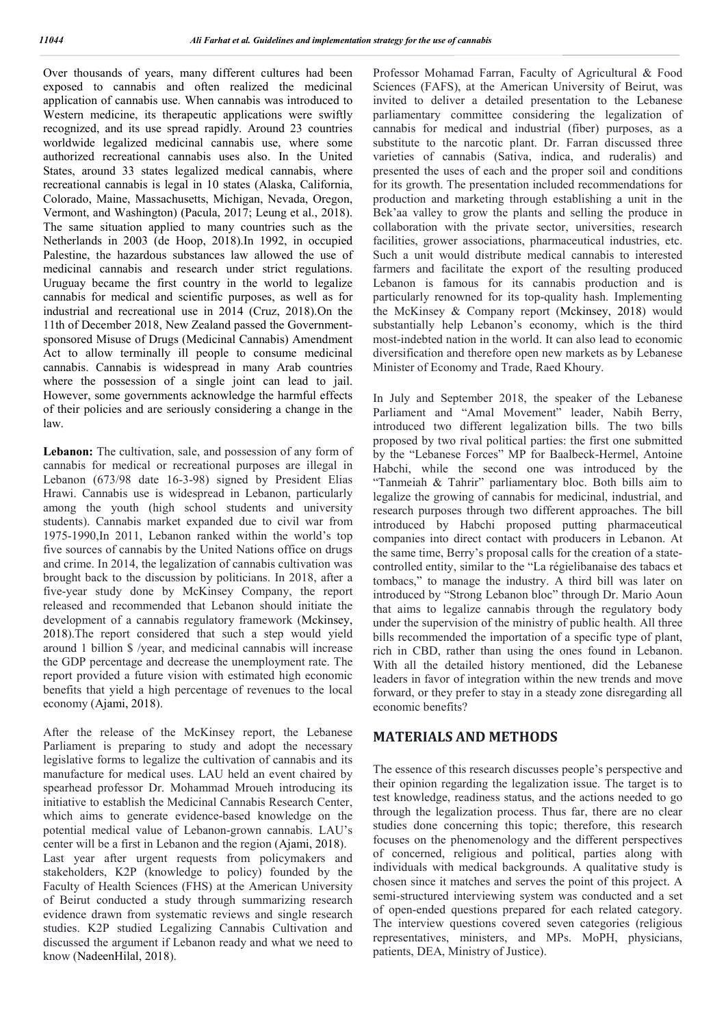Over thousands of years, many different cultures had been exposed to cannabis and often realized the medicinal application of cannabis use. When cannabis was introduced to Western medicine, its therapeutic applications were swiftly recognized, and its use spread rapidly. Around 23 countries worldwide legalized medicinal cannabis use, where some authorized recreational cannabis uses also. In the United States, around 33 states legalized medical cannabis, where recreational cannabis is legal in 10 states (Alaska, California, Colorado, Maine, Massachusetts, Michigan, Nevada, Oregon, Vermont, and Washington) (Pacula, 2017; Leung et al., 2018). The same situation applied to many countries such as the Netherlands in 2003 (de Hoop, 2018).In 1992, in occupied Palestine, the hazardous substances law allowed the use of medicinal cannabis and research under strict regulations. Uruguay became the first country in the world to legalize cannabis for medical and scientific purposes, as well as for industrial and recreational use in 2014 (Cruz, 2018).On the 11th of December 2018, New Zealand passed the Governmentsponsored Misuse of Drugs (Medicinal Cannabis) Amendment Act to allow terminally ill people to consume medicinal cannabis. Cannabis is widespread in many Arab countries where the possession of a single joint can lead to jail. However, some governments acknowledge the harmful effects of their policies and are seriously considering a change in the law.

Lebanon: The cultivation, sale, and possession of any form of cannabis for medical or recreational purposes are illegal in Lebanon (673/98 date 16-3-98) signed by President Elias Hrawi. Cannabis use is widespread in Lebanon, particularly among the youth (high school students and university students). Cannabis market expanded due to civil war from 1975-1990,In 2011, Lebanon ranked within the world's top five sources of cannabis by the United Nations office on drugs and crime. In 2014, the legalization of cannabis cultivation was brought back to the discussion by politicians. In 2018, after a five-year study done by McKinsey Company, the report released and recommended that Lebanon should initiate the development of a cannabis regulatory framework (Mckinsey, 2018).The report considered that such a step would yield around 1 billion \$ /year, and medicinal cannabis will increase the GDP percentage and decrease the unemployment rate. The report provided a future vision with estimated high economic benefits that yield a high percentage of revenues to the local economy (Ajami, 2018).

After the release of the McKinsey report, the Lebanese Parliament is preparing to study and adopt the necessary legislative forms to legalize the cultivation of cannabis and its manufacture for medical uses. LAU held an event chaired by spearhead professor Dr. Mohammad Mroueh introducing its initiative to establish the Medicinal Cannabis Research Center, which aims to generate evidence-based knowledge on the potential medical value of Lebanon-grown cannabis. LAU's center will be a first in Lebanon and the region (Ajami, 2018). Last year after urgent requests from policymakers and

stakeholders, K2P (knowledge to policy) founded by the Faculty of Health Sciences (FHS) at the American University of Beirut conducted a study through summarizing research evidence drawn from systematic reviews and single research studies. K2P studied Legalizing Cannabis Cultivation and discussed the argument if Lebanon ready and what we need to know (NadeenHilal, 2018).

Professor Mohamad Farran, Faculty of Agricultural & Food Sciences (FAFS), at the American University of Beirut, was invited to deliver a detailed presentation to the Lebanese parliamentary committee considering the legalization of cannabis for medical and industrial (fiber) purposes, as a substitute to the narcotic plant. Dr. Farran discussed three varieties of cannabis (Sativa, indica, and ruderalis) and presented the uses of each and the proper soil and conditions for its growth. The presentation included recommendations for production and marketing through establishing a unit in the Bek'aa valley to grow the plants and selling the produce in collaboration with the private sector, universities, research facilities, grower associations, pharmaceutical industries, etc. Such a unit would distribute medical cannabis to interested farmers and facilitate the export of the resulting produced Lebanon is famous for its cannabis production and is particularly renowned for its top-quality hash. Implementing the McKinsey & Company report (Mckinsey, 2018) would substantially help Lebanon's economy, which is the third most-indebted nation in the world. It can also lead to economic diversification and therefore open new markets as by Lebanese Minister of Economy and Trade, Raed Khoury.

In July and September 2018, the speaker of the Lebanese Parliament and "Amal Movement" leader, Nabih Berry, introduced two different legalization bills. The two bills proposed by two rival political parties: the first one submitted by the "Lebanese Forces" MP for Baalbeck-Hermel, Antoine Habchi, while the second one was introduced by the "Tanmeiah & Tahrir" parliamentary bloc. Both bills aim to legalize the growing of cannabis for medicinal, industrial, and research purposes through two different approaches. The bill introduced by Habchi proposed putting pharmaceutical companies into direct contact with producers in Lebanon. At the same time, Berry's proposal calls for the creation of a statecontrolled entity, similar to the "La régielibanaise des tabacs et tombacs," to manage the industry. A third bill was later on introduced by "Strong Lebanon bloc" through Dr. Mario Aoun that aims to legalize cannabis through the regulatory body under the supervision of the ministry of public health. All three bills recommended the importation of a specific type of plant, rich in CBD, rather than using the ones found in Lebanon. With all the detailed history mentioned, did the Lebanese leaders in favor of integration within the new trends and move forward, or they prefer to stay in a steady zone disregarding all economic benefits?

# **MATERIALS AND METHODS**

The essence of this research discusses people's perspective and their opinion regarding the legalization issue. The target is to test knowledge, readiness status, and the actions needed to go through the legalization process. Thus far, there are no clear studies done concerning this topic; therefore, this research focuses on the phenomenology and the different perspectives of concerned, religious and political, parties along with individuals with medical backgrounds. A qualitative study is chosen since it matches and serves the point of this project. A semi-structured interviewing system was conducted and a set of open-ended questions prepared for each related category. The interview questions covered seven categories (religious representatives, ministers, and MPs. MoPH, physicians, patients, DEA, Ministry of Justice).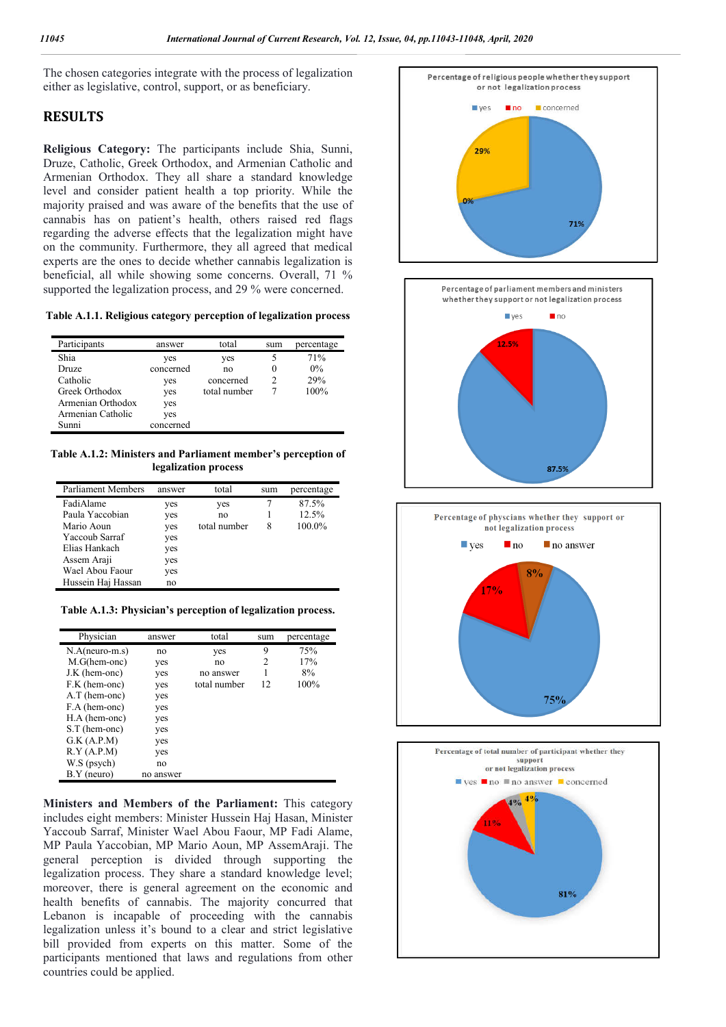The chosen categories integrate with the process of legalization either as legislative, control, support, or as beneficiary.

# **RESULTS**

**Religious Category:** The participants include Shia, Sunni, Druze, Catholic, Greek Orthodox, and Armenian Catholic and Armenian Orthodox. They all share a standard knowledge level and consider patient health a top priority. While the majority praised and was aware of the benefits that the use of cannabis has on patient's health, others raised red flags regarding the adverse effects that the legalization might have on the community. Furthermore, they all agreed that medical experts are the ones to decide whether cannabis legalization is beneficial, all while showing some concerns. Overall, 71 % supported the legalization process, and 29 % were concerned.

**Table A.1.1. Religious category perception of legalization process**

| Participants      | answer    | total        | sum | percentage |
|-------------------|-----------|--------------|-----|------------|
| Shia              | yes       | yes          |     | 71%        |
| Druze             | concerned | no           | O   | $0\%$      |
| Catholic          | yes       | concerned    |     | 29%        |
| Greek Orthodox    | yes       | total number |     | 100%       |
| Armenian Orthodox | yes       |              |     |            |
| Armenian Catholic | yes       |              |     |            |
| Sunni             | concerned |              |     |            |

**Table A.1.2: Ministers and Parliament member's perception of legalization process**

| Parliament Members | answer | total        | sum | percentage |
|--------------------|--------|--------------|-----|------------|
| FadiAlame          | yes    | yes          |     | 87.5%      |
| Paula Yaccobian    | yes    | no           |     | 12.5%      |
| Mario Aoun         | yes    | total number | 8   | 100.0%     |
| Yaccoub Sarraf     | yes    |              |     |            |
| Elias Hankach      | yes    |              |     |            |
| Assem Araji        | yes    |              |     |            |
| Wael Abou Faour    | yes    |              |     |            |
| Hussein Haj Hassan | no     |              |     |            |

**Table A.1.3: Physician's perception of legalization process.**

| Physician      | answer    | total        | sum | percentage |
|----------------|-----------|--------------|-----|------------|
| $N.A(newor-S)$ | no        | yes          | 9   | 75%        |
| M.G(hem-onc)   | yes       | no           | 2   | 17%        |
| J.K (hem-onc)  | yes       | no answer    |     | 8%         |
| F.K (hem-onc)  | yes       | total number | 12  | 100%       |
| A.T (hem-onc)  | yes       |              |     |            |
| F.A (hem-onc)  | yes       |              |     |            |
| H.A (hem-onc)  | yes       |              |     |            |
| S.T (hem-onc)  | yes       |              |     |            |
| G.K (A.P.M)    | yes       |              |     |            |
| R.Y (A.P.M)    | yes       |              |     |            |
| W.S (psych)    | no        |              |     |            |
| $B.Y$ (neuro)  | no answer |              |     |            |

**Ministers and Members of the Parliament:** This category includes eight members: Minister Hussein Haj Hasan, Minister Yaccoub Sarraf, Minister Wael Abou Faour, MP Fadi Alame, MP Paula Yaccobian, MP Mario Aoun, MP AssemAraji. The general perception is divided through supporting the legalization process. They share a standard knowledge level; moreover, there is general agreement on the economic and health benefits of cannabis. The majority concurred that Lebanon is incapable of proceeding with the cannabis legalization unless it's bound to a clear and strict legislative bill provided from experts on this matter. Some of the participants mentioned that laws and regulations from other countries could be applied.

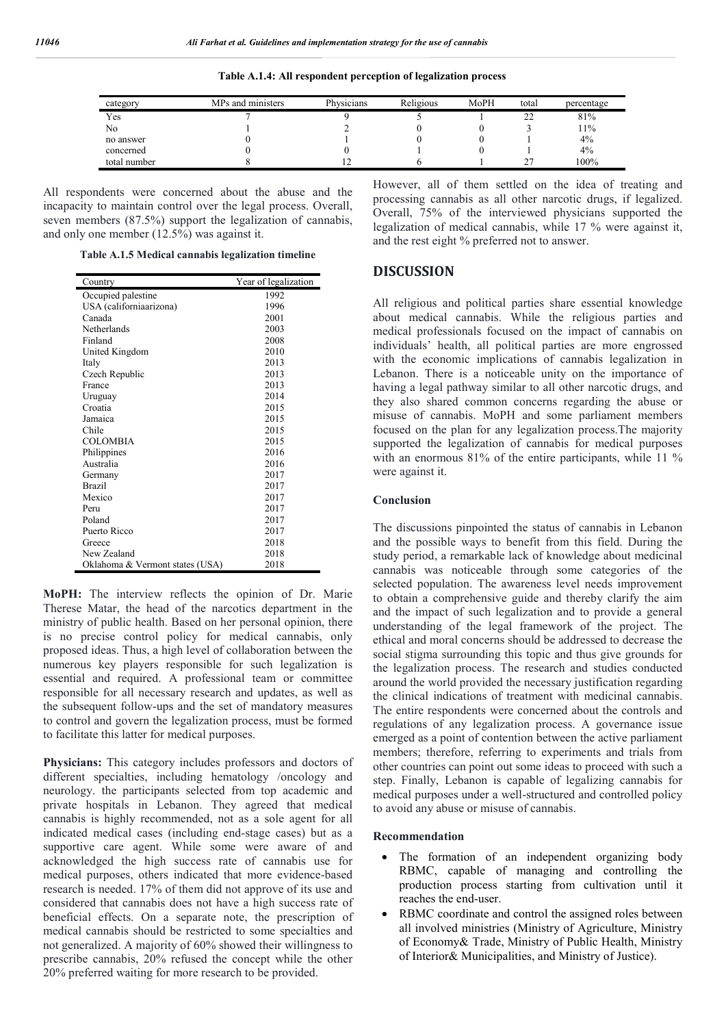| category     | MPs and ministers | Physicians | Religious | MoPH | total | percentage |
|--------------|-------------------|------------|-----------|------|-------|------------|
| Yes          |                   |            |           |      |       | 81%        |
| No           |                   |            |           |      |       | 11%        |
| no answer    |                   |            |           |      |       | 4%         |
| concerned    |                   |            |           |      |       | 4%         |
| total number |                   |            |           |      |       | 100%       |
|              |                   |            |           |      |       |            |

**Table A.1.4: All respondent perception of legalization process**

All respondents were concerned about the abuse and the incapacity to maintain control over the legal process. Overall, seven members (87.5%) support the legalization of cannabis, and only one member (12.5%) was against it.

**Table A.1.5 Medical cannabis legalization timeline**

| Country                         | Year of legalization |
|---------------------------------|----------------------|
| Occupied palestine              | 1992                 |
| USA (californiaarizona)         | 1996                 |
| Canada                          | 2001                 |
| Netherlands                     | 2003                 |
| Finland                         | 2008                 |
| United Kingdom                  | 2010                 |
| Italy                           | 2013                 |
| Czech Republic                  | 2013                 |
| France                          | 2013                 |
| Uruguay                         | 2014                 |
| Croatia                         | 2015                 |
| Jamaica                         | 2015                 |
| Chile                           | 2015                 |
| <b>COLOMBIA</b>                 | 2015                 |
| Philippines                     | 2016                 |
| Australia                       | 2016                 |
| Germany                         | 2017                 |
| <b>Brazil</b>                   | 2017                 |
| Mexico                          | 2017                 |
| Peru                            | 2017                 |
| Poland                          | 2017                 |
| Puerto Ricco                    | 2017                 |
| Greece                          | 2018                 |
| New Zealand                     | 2018                 |
| Oklahoma & Vermont states (USA) | 2018                 |

**MoPH:** The interview reflects the opinion of Dr. Marie Therese Matar, the head of the narcotics department in the ministry of public health. Based on her personal opinion, there is no precise control policy for medical cannabis, only proposed ideas. Thus, a high level of collaboration between the numerous key players responsible for such legalization is essential and required. A professional team or committee responsible for all necessary research and updates, as well as the subsequent follow-ups and the set of mandatory measures to control and govern the legalization process, must be formed to facilitate this latter for medical purposes.

**Physicians:** This category includes professors and doctors of different specialties, including hematology /oncology and neurology. the participants selected from top academic and private hospitals in Lebanon. They agreed that medical cannabis is highly recommended, not as a sole agent for all indicated medical cases (including end-stage cases) but as a supportive care agent. While some were aware of and acknowledged the high success rate of cannabis use for medical purposes, others indicated that more evidence-based research is needed. 17% of them did not approve of its use and considered that cannabis does not have a high success rate of beneficial effects. On a separate note, the prescription of medical cannabis should be restricted to some specialties and not generalized. A majority of 60% showed their willingness to prescribe cannabis, 20% refused the concept while the other 20% preferred waiting for more research to be provided.

However, all of them settled on the idea of treating and processing cannabis as all other narcotic drugs, if legalized. Overall, 75% of the interviewed physicians supported the legalization of medical cannabis, while 17 % were against it, and the rest eight % preferred not to answer.

## **DISCUSSION**

All religious and political parties share essential knowledge about medical cannabis. While the religious parties and medical professionals focused on the impact of cannabis on individuals' health, all political parties are more engrossed with the economic implications of cannabis legalization in Lebanon. There is a noticeable unity on the importance of having a legal pathway similar to all other narcotic drugs, and they also shared common concerns regarding the abuse or misuse of cannabis. MoPH and some parliament members focused on the plan for any legalization process.The majority supported the legalization of cannabis for medical purposes with an enormous 81% of the entire participants, while 11 % were against it.

#### **Conclusion**

The discussions pinpointed the status of cannabis in Lebanon and the possible ways to benefit from this field. During the study period, a remarkable lack of knowledge about medicinal cannabis was noticeable through some categories of the selected population. The awareness level needs improvement to obtain a comprehensive guide and thereby clarify the aim and the impact of such legalization and to provide a general understanding of the legal framework of the project. The ethical and moral concerns should be addressed to decrease the social stigma surrounding this topic and thus give grounds for the legalization process. The research and studies conducted around the world provided the necessary justification regarding the clinical indications of treatment with medicinal cannabis. The entire respondents were concerned about the controls and regulations of any legalization process. A governance issue emerged as a point of contention between the active parliament members; therefore, referring to experiments and trials from other countries can point out some ideas to proceed with such a step. Finally, Lebanon is capable of legalizing cannabis for medical purposes under a well-structured and controlled policy to avoid any abuse or misuse of cannabis.

#### **Recommendation**

- The formation of an independent organizing body RBMC, capable of managing and controlling the production process starting from cultivation until it reaches the end-user.
- RBMC coordinate and control the assigned roles between all involved ministries (Ministry of Agriculture, Ministry of Economy& Trade, Ministry of Public Health, Ministry of Interior& Municipalities, and Ministry of Justice).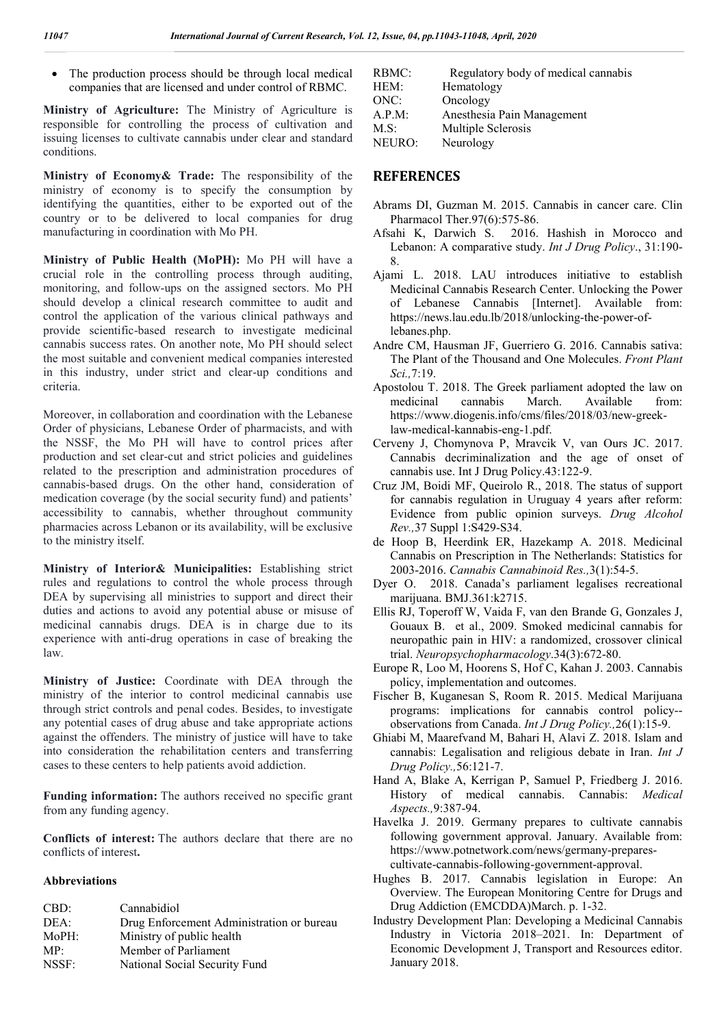The production process should be through local medical companies that are licensed and under control of RBMC.

**Ministry of Agriculture:** The Ministry of Agriculture is responsible for controlling the process of cultivation and issuing licenses to cultivate cannabis under clear and standard conditions.

**Ministry of Economy& Trade:** The responsibility of the ministry of economy is to specify the consumption by identifying the quantities, either to be exported out of the country or to be delivered to local companies for drug manufacturing in coordination with Mo PH.

**Ministry of Public Health (MoPH):** Mo PH will have a crucial role in the controlling process through auditing, monitoring, and follow-ups on the assigned sectors. Mo PH should develop a clinical research committee to audit and control the application of the various clinical pathways and provide scientific-based research to investigate medicinal cannabis success rates. On another note, Mo PH should select the most suitable and convenient medical companies interested in this industry, under strict and clear-up conditions and criteria.

Moreover, in collaboration and coordination with the Lebanese Order of physicians, Lebanese Order of pharmacists, and with the NSSF, the Mo PH will have to control prices after production and set clear-cut and strict policies and guidelines related to the prescription and administration procedures of cannabis-based drugs. On the other hand, consideration of medication coverage (by the social security fund) and patients' accessibility to cannabis, whether throughout community pharmacies across Lebanon or its availability, will be exclusive to the ministry itself.

**Ministry of Interior& Municipalities:** Establishing strict rules and regulations to control the whole process through DEA by supervising all ministries to support and direct their duties and actions to avoid any potential abuse or misuse of medicinal cannabis drugs. DEA is in charge due to its experience with anti-drug operations in case of breaking the law.

**Ministry of Justice:** Coordinate with DEA through the ministry of the interior to control medicinal cannabis use through strict controls and penal codes. Besides, to investigate any potential cases of drug abuse and take appropriate actions against the offenders. The ministry of justice will have to take into consideration the rehabilitation centers and transferring cases to these centers to help patients avoid addiction.

**Funding information:** The authors received no specific grant from any funding agency.

**Conflicts of interest:** The authors declare that there are no conflicts of interest**.**

#### **Abbreviations**

| Cannabidiol                               |
|-------------------------------------------|
| Drug Enforcement Administration or bureau |
| Ministry of public health                 |
| Member of Parliament                      |
| National Social Security Fund             |
|                                           |

| RBMC:  | Regulatory body of medical cannabis |
|--------|-------------------------------------|
| HEM:   | Hematology                          |
| ONC:   | Oncology                            |
| A.P.M: | Anesthesia Pain Management          |
| M.S:   | Multiple Sclerosis                  |
| NEURO: | Neurology                           |

## **REFERENCES**

- Abrams DI, Guzman M. 2015. Cannabis in cancer care. Clin Pharmacol Ther.97(6):575-86.
- Afsahi K, Darwich S. 2016. Hashish in Morocco and Lebanon: A comparative study. *Int J Drug Policy*., 31:190- 8.
- Ajami L. 2018. LAU introduces initiative to establish Medicinal Cannabis Research Center. Unlocking the Power of Lebanese Cannabis [Internet]. Available from: https://news.lau.edu.lb/2018/unlocking-the-power-oflebanes.php.
- Andre CM, Hausman JF, Guerriero G. 2016. Cannabis sativa: The Plant of the Thousand and One Molecules. *Front Plant Sci.,*7:19.
- Apostolou T. 2018. The Greek parliament adopted the law on medicinal cannabis March. Available from: https://www.diogenis.info/cms/files/2018/03/new-greeklaw-medical-kannabis-eng-1.pdf.
- Cerveny J, Chomynova P, Mravcik V, van Ours JC. 2017. Cannabis decriminalization and the age of onset of cannabis use. Int J Drug Policy.43:122-9.
- Cruz JM, Boidi MF, Queirolo R., 2018. The status of support for cannabis regulation in Uruguay 4 years after reform: Evidence from public opinion surveys. *Drug Alcohol Rev.,*37 Suppl 1:S429-S34.
- de Hoop B, Heerdink ER, Hazekamp A. 2018. Medicinal Cannabis on Prescription in The Netherlands: Statistics for 2003-2016. *Cannabis Cannabinoid Res.,*3(1):54-5.
- Dyer O. 2018. Canada's parliament legalises recreational marijuana. BMJ.361:k2715.
- Ellis RJ, Toperoff W, Vaida F, van den Brande G, Gonzales J, Gouaux B. et al., 2009. Smoked medicinal cannabis for neuropathic pain in HIV: a randomized, crossover clinical trial. *Neuropsychopharmacology*.34(3):672-80.
- Europe R, Loo M, Hoorens S, Hof C, Kahan J. 2003. Cannabis policy, implementation and outcomes.
- Fischer B, Kuganesan S, Room R. 2015. Medical Marijuana programs: implications for cannabis control policy- observations from Canada. *Int J Drug Policy.,*26(1):15-9.
- Ghiabi M, Maarefvand M, Bahari H, Alavi Z. 2018. Islam and cannabis: Legalisation and religious debate in Iran. *Int J Drug Policy.,*56:121-7.
- Hand A, Blake A, Kerrigan P, Samuel P, Friedberg J. 2016. History of medical cannabis. Cannabis: *Medical Aspects.,*9:387-94.
- Havelka J. 2019. Germany prepares to cultivate cannabis following government approval. January. Available from: https://www.potnetwork.com/news/germany-preparescultivate-cannabis-following-government-approval.
- Hughes B. 2017. Cannabis legislation in Europe: An Overview. The European Monitoring Centre for Drugs and Drug Addiction (EMCDDA)March. p. 1-32.
- Industry Development Plan: Developing a Medicinal Cannabis Industry in Victoria 2018–2021. In: Department of Economic Development J, Transport and Resources editor. January 2018.